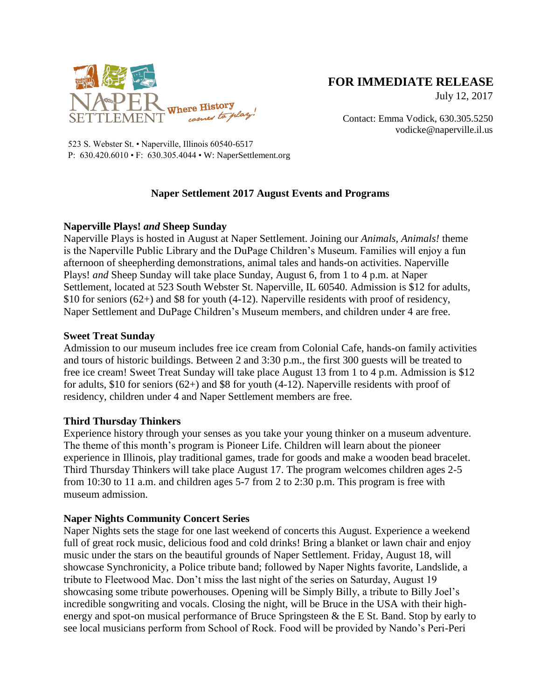

# **FOR IMMEDIATE RELEASE**

July 12, 2017

Contact: Emma Vodick, 630.305.5250 vodicke@naperville.il.us

523 S. Webster St. • Naperville, Illinois 60540-6517 P: 630.420.6010 • F: 630.305.4044 • W: NaperSettlement.org

# **Naper Settlement 2017 August Events and Programs**

### **Naperville Plays!** *and* **Sheep Sunday**

Naperville Plays is hosted in August at Naper Settlement. Joining our *Animals, Animals!* theme is the Naperville Public Library and the DuPage Children's Museum. Families will enjoy a fun afternoon of sheepherding demonstrations, animal tales and hands-on activities. Naperville Plays! *and* Sheep Sunday will take place Sunday, August 6, from 1 to 4 p.m. at Naper Settlement, located at 523 South Webster St. Naperville, IL 60540. Admission is \$12 for adults, \$10 for seniors (62+) and \$8 for youth (4-12). Naperville residents with proof of residency, Naper Settlement and DuPage Children's Museum members, and children under 4 are free.

### **Sweet Treat Sunday**

Admission to our museum includes free ice cream from Colonial Cafe, hands-on family activities and tours of historic buildings. Between 2 and 3:30 p.m., the first 300 guests will be treated to free ice cream! Sweet Treat Sunday will take place August 13 from 1 to 4 p.m. Admission is \$12 for adults, \$10 for seniors  $(62+)$  and \$8 for youth  $(4-12)$ . Naperville residents with proof of residency, children under 4 and Naper Settlement members are free.

## **Third Thursday Thinkers**

Experience history through your senses as you take your young thinker on a museum adventure. The theme of this month's program is Pioneer Life. Children will learn about the pioneer experience in Illinois, play traditional games, trade for goods and make a wooden bead bracelet. Third Thursday Thinkers will take place August 17. The program welcomes children ages 2-5 from 10:30 to 11 a.m. and children ages 5-7 from 2 to 2:30 p.m. This program is free with museum admission.

## **Naper Nights Community Concert Series**

Naper Nights sets the stage for one last weekend of concerts this August. Experience a weekend full of great rock music, delicious food and cold drinks! Bring a blanket or lawn chair and enjoy music under the stars on the beautiful grounds of Naper Settlement. Friday, August 18, will showcase Synchronicity, a Police tribute band; followed by Naper Nights favorite, Landslide, a tribute to Fleetwood Mac. Don't miss the last night of the series on Saturday, August 19 showcasing some tribute powerhouses. Opening will be Simply Billy, a tribute to Billy Joel's incredible songwriting and vocals. Closing the night, will be Bruce in the USA with their highenergy and spot-on musical performance of Bruce Springsteen & the E St. Band. Stop by early to see local musicians perform from School of Rock. Food will be provided by Nando's Peri-Peri